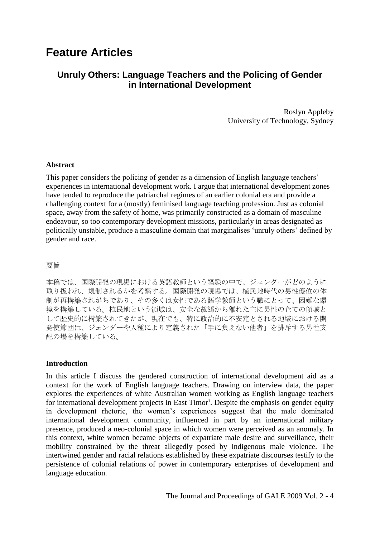# **Feature Articles**

## **Unruly Others: Language Teachers and the Policing of Gender in International Development**

Roslyn Appleby University of Technology, Sydney

#### **Abstract**

This paper considers the policing of gender as a dimension of English language teachers' experiences in international development work. I argue that international development zones have tended to reproduce the patriarchal regimes of an earlier colonial era and provide a challenging context for a (mostly) feminised language teaching profession. Just as colonial space, away from the safety of home, was primarily constructed as a domain of masculine endeavour, so too contemporary development missions, particularly in areas designated as politically unstable, produce a masculine domain that marginalises ‗unruly others' defined by gender and race.

#### 要旨

本稿では、国際開発の現場における英語教師という経験の中で、ジェンダーがどのように 取り扱われ、規制されるかを考察する。国際開発の現場では、植民地時代の男性優位の体 制が再構築されがちであり、その多くは女性である語学教師という職にとって、困難な環 境を構築している。植民地という領域は、安全な故郷から離れた主に男性の企ての領域と して歴史的に構築されてきたが、現在でも、特に政治的に不安定とされる地域における開 発使節団は、ジェンダーや人種により定義された「手に負えない他者」を排斥する男性支 配の場を構築している。

## **Introduction**

In this article I discuss the gendered construction of international development aid as a context for the work of English language teachers. Drawing on interview data, the paper explores the experiences of white Australian women working as English language teachers for international development projects in East Timor<sup>1</sup>. Despite the emphasis on gender equity in development rhetoric, the women's experiences suggest that the male dominated international development community, influenced in part by an international military presence, produced a neo-colonial space in which women were perceived as an anomaly. In this context, white women became objects of expatriate male desire and surveillance, their mobility constrained by the threat allegedly posed by indigenous male violence. The intertwined gender and racial relations established by these expatriate discourses testify to the persistence of colonial relations of power in contemporary enterprises of development and language education.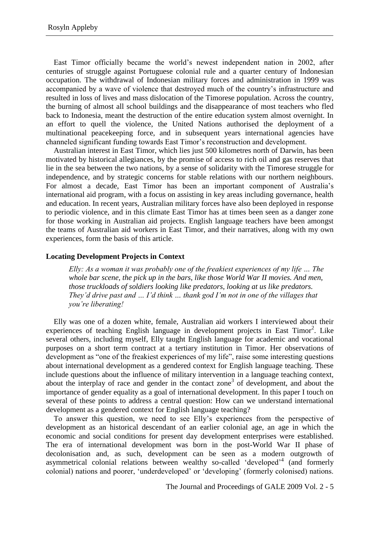East Timor officially became the world's newest independent nation in 2002, after centuries of struggle against Portuguese colonial rule and a quarter century of Indonesian occupation. The withdrawal of Indonesian military forces and administration in 1999 was accompanied by a wave of violence that destroyed much of the country's infrastructure and resulted in loss of lives and mass dislocation of the Timorese population. Across the country, the burning of almost all school buildings and the disappearance of most teachers who fled back to Indonesia, meant the destruction of the entire education system almost overnight. In an effort to quell the violence, the United Nations authorised the deployment of a multinational peacekeeping force, and in subsequent years international agencies have channeled significant funding towards East Timor's reconstruction and development.

Australian interest in East Timor, which lies just 500 kilometres north of Darwin, has been motivated by historical allegiances, by the promise of access to rich oil and gas reserves that lie in the sea between the two nations, by a sense of solidarity with the Timorese struggle for independence, and by strategic concerns for stable relations with our northern neighbours. For almost a decade, East Timor has been an important component of Australia's international aid program, with a focus on assisting in key areas including governance, health and education. In recent years, Australian military forces have also been deployed in response to periodic violence, and in this climate East Timor has at times been seen as a danger zone for those working in Australian aid projects. English language teachers have been amongst the teams of Australian aid workers in East Timor, and their narratives, along with my own experiences, form the basis of this article.

## **Locating Development Projects in Context**

*Elly: As a woman it was probably one of the freakiest experiences of my life … The whole bar scene, the pick up in the bars, like those World War II movies. And men, those truckloads of soldiers looking like predators, looking at us like predators. They"d drive past and … I"d think … thank god I"m not in one of the villages that you"re liberating!*

Elly was one of a dozen white, female, Australian aid workers I interviewed about their experiences of teaching English language in development projects in East Timor<sup>2</sup>. Like several others, including myself, Elly taught English language for academic and vocational purposes on a short term contract at a tertiary institution in Timor. Her observations of development as "one of the freakiest experiences of my life", raise some interesting questions about international development as a gendered context for English language teaching. These include questions about the influence of military intervention in a language teaching context, about the interplay of race and gender in the contact zone<sup>3</sup> of development, and about the importance of gender equality as a goal of international development. In this paper I touch on several of these points to address a central question: How can we understand international development as a gendered context for English language teaching?

To answer this question, we need to see Elly's experiences from the perspective of development as an historical descendant of an earlier colonial age, an age in which the economic and social conditions for present day development enterprises were established. The era of international development was born in the post-World War II phase of decolonisation and, as such, development can be seen as a modern outgrowth of asymmetrical colonial relations between wealthy so-called 'developed'<sup>4</sup> (and formerly colonial) nations and poorer, 'underdeveloped' or 'developing' (formerly colonised) nations.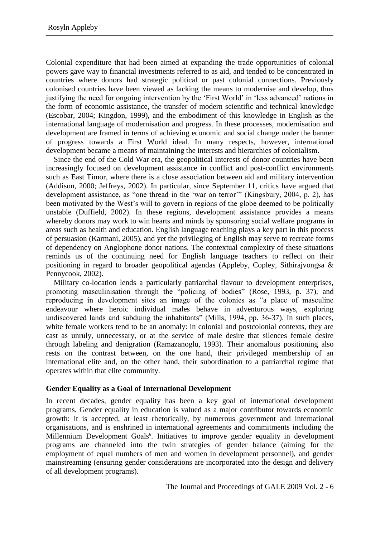Colonial expenditure that had been aimed at expanding the trade opportunities of colonial powers gave way to financial investments referred to as aid, and tended to be concentrated in countries where donors had strategic political or past colonial connections. Previously colonised countries have been viewed as lacking the means to modernise and develop, thus justifying the need for ongoing intervention by the 'First World' in 'less advanced' nations in the form of economic assistance, the transfer of modern scientific and technical knowledge (Escobar, 2004; Kingdon, 1999), and the embodiment of this knowledge in English as the international language of modernisation and progress. In these processes, modernisation and development are framed in terms of achieving economic and social change under the banner of progress towards a First World ideal. In many respects, however, international development became a means of maintaining the interests and hierarchies of colonialism.

Since the end of the Cold War era, the geopolitical interests of donor countries have been increasingly focused on development assistance in conflict and post-conflict environments such as East Timor, where there is a close association between aid and military intervention (Addison, 2000; Jeffreys, 2002). In particular, since September 11, critics have argued that development assistance, as "one thread in the 'war on terror'" (Kingsbury, 2004, p. 2), has been motivated by the West's will to govern in regions of the globe deemed to be politically unstable (Duffield, 2002). In these regions, development assistance provides a means whereby donors may work to win hearts and minds by sponsoring social welfare programs in areas such as health and education. English language teaching plays a key part in this process of persuasion (Karmani, 2005), and yet the privileging of English may serve to recreate forms of dependency on Anglophone donor nations. The contextual complexity of these situations reminds us of the continuing need for English language teachers to reflect on their positioning in regard to broader geopolitical agendas (Appleby, Copley, Sithirajvongsa & Pennycook, 2002).

Military co-location lends a particularly patriarchal flavour to development enterprises, promoting masculinisation through the "policing of bodies" (Rose, 1993, p. 37), and reproducing in development sites an image of the colonies as "a place of masculine" endeavour where heroic individual males behave in adventurous ways, exploring undiscovered lands and subduing the inhabitants" (Mills, 1994, pp. 36-37). In such places, white female workers tend to be an anomaly: in colonial and postcolonial contexts, they are cast as unruly, unnecessary, or at the service of male desire that silences female desire through labeling and denigration (Ramazanoglu, 1993). Their anomalous positioning also rests on the contrast between, on the one hand, their privileged membership of an international elite and, on the other hand, their subordination to a patriarchal regime that operates within that elite community.

## **Gender Equality as a Goal of International Development**

In recent decades, gender equality has been a key goal of international development programs. Gender equality in education is valued as a major contributor towards economic growth: it is accepted, at least rhetorically, by numerous government and international organisations, and is enshrined in international agreements and commitments including the Millennium Development Goals<sup>6</sup>. Initiatives to improve gender equality in development programs are channeled into the twin strategies of gender balance (aiming for the employment of equal numbers of men and women in development personnel), and gender mainstreaming (ensuring gender considerations are incorporated into the design and delivery of all development programs).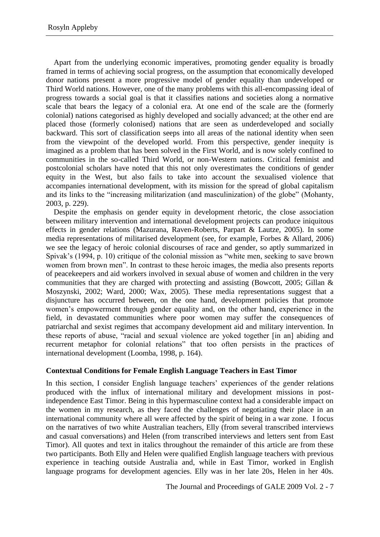Apart from the underlying economic imperatives, promoting gender equality is broadly framed in terms of achieving social progress, on the assumption that economically developed donor nations present a more progressive model of gender equality than undeveloped or Third World nations. However, one of the many problems with this all-encompassing ideal of progress towards a social goal is that it classifies nations and societies along a normative scale that bears the legacy of a colonial era. At one end of the scale are the (formerly colonial) nations categorised as highly developed and socially advanced; at the other end are placed those (formerly colonised) nations that are seen as underdeveloped and socially backward. This sort of classification seeps into all areas of the national identity when seen from the viewpoint of the developed world. From this perspective, gender inequity is imagined as a problem that has been solved in the First World, and is now solely confined to communities in the so-called Third World, or non-Western nations. Critical feminist and postcolonial scholars have noted that this not only overestimates the conditions of gender equity in the West, but also fails to take into account the sexualised violence that accompanies international development, with its mission for the spread of global capitalism and its links to the "increasing militarization (and masculinization) of the globe" (Mohanty, 2003, p. 229).

Despite the emphasis on gender equity in development rhetoric, the close association between military intervention and international development projects can produce iniquitous effects in gender relations (Mazurana, Raven-Roberts, Parpart & Lautze, 2005). In some media representations of militarised development (see, for example, Forbes & Allard, 2006) we see the legacy of heroic colonial discourses of race and gender, so aptly summarized in Spivak's (1994, p. 10) critique of the colonial mission as "white men, seeking to save brown women from brown men". In contrast to these heroic images, the media also presents reports of peacekeepers and aid workers involved in sexual abuse of women and children in the very communities that they are charged with protecting and assisting (Bowcott, 2005; Gillan & Moszynski, 2002; Ward, 2000; Wax, 2005). These media representations suggest that a disjuncture has occurred between, on the one hand, development policies that promote women's empowerment through gender equality and, on the other hand, experience in the field, in devastated communities where poor women may suffer the consequences of patriarchal and sexist regimes that accompany development aid and military intervention. In these reports of abuse, "racial and sexual violence are yoked together [in an] abiding and recurrent metaphor for colonial relations" that too often persists in the practices of international development (Loomba, 1998, p. 164).

## **Contextual Conditions for Female English Language Teachers in East Timor**

In this section, I consider English language teachers' experiences of the gender relations produced with the influx of international military and development missions in postindependence East Timor. Being in this hypermasculine context had a considerable impact on the women in my research, as they faced the challenges of negotiating their place in an international community where all were affected by the spirit of being in a war zone. I focus on the narratives of two white Australian teachers, Elly (from several transcribed interviews and casual conversations) and Helen (from transcribed interviews and letters sent from East Timor). All quotes and text in italics throughout the remainder of this article are from these two participants. Both Elly and Helen were qualified English language teachers with previous experience in teaching outside Australia and, while in East Timor, worked in English language programs for development agencies. Elly was in her late 20s, Helen in her 40s.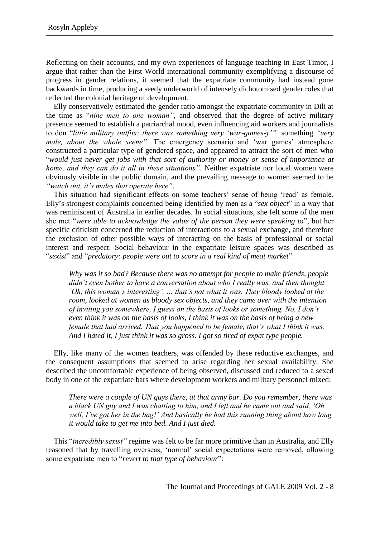Reflecting on their accounts, and my own experiences of language teaching in East Timor, I argue that rather than the First World international community exemplifying a discourse of progress in gender relations, it seemed that the expatriate community had instead gone backwards in time, producing a seedy underworld of intensely dichotomised gender roles that reflected the colonial heritage of development.

Elly conservatively estimated the gender ratio amongst the expatriate community in Dili at the time as "*nine men to one woman*", and observed that the degree of active military presence seemed to establish a patriarchal mood, even influencing aid workers and journalists to don "little military outfits: there was something very 'war-games-y'", something "very *male, about the whole scene"*. The emergency scenario and 'war games' atmosphere constructed a particular type of gendered space, and appeared to attract the sort of men who ―*would just never get jobs with that sort of authority or money or sense of importance at home, and they can do it all in these situations"*. Neither expatriate nor local women were obviously visible in the public domain, and the prevailing message to women seemed to be *"watch out, it"s males that operate here"*.

This situation had significant effects on some teachers' sense of being 'read' as female. Elly's strongest complaints concerned being identified by men as a "*sex object*" in a way that was reminiscent of Australia in earlier decades. In social situations, she felt some of the men she met "were able to acknowledge the value of the person they were speaking to", but her specific criticism concerned the reduction of interactions to a sexual exchange, and therefore the exclusion of other possible ways of interacting on the basis of professional or social interest and respect. Social behaviour in the expatriate leisure spaces was described as ―*sexist*‖ and ―*predatory: people were out to score in a real kind of meat market*‖.

*Why was it so bad? Because there was no attempt for people to make friends, people didn"t even bother to have a conversation about who I really was, and then thought "Oh, this woman"s interesting", … that"s not what it was. They bloody looked at the room, looked at women as bloody sex objects, and they came over with the intention of inviting you somewhere, I guess on the basis of looks or something. No, I don"t even think it was on the basis of looks, I think it was on the basis of being a new female that had arrived. That you happened to be female, that"s what I think it was. And I hated it, I just think it was so gross. I got so tired of expat type people.*

Elly, like many of the women teachers, was offended by these reductive exchanges, and the consequent assumptions that seemed to arise regarding her sexual availability. She described the uncomfortable experience of being observed, discussed and reduced to a sexed body in one of the expatriate bars where development workers and military personnel mixed:

*There were a couple of UN guys there, at that army bar. Do you remember, there was a black UN guy and I was chatting to him, and I left and he came out and said, "Oh well, I"ve got her in the bag!" And basically he had this running thing about how long it would take to get me into bed. And I just died.*

This "*incredibly sexist*" regime was felt to be far more primitive than in Australia, and Elly reasoned that by travelling overseas, 'normal' social expectations were removed, allowing some expatriate men to "revert to that type of behaviour":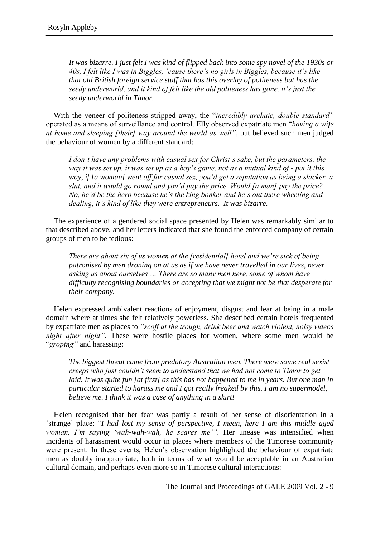*It was bizarre. I just felt I was kind of flipped back into some spy novel of the 1930s or 40s, I felt like I was in Biggles, "cause there"s no girls in Biggles, because it"s like that old British foreign service stuff that has this overlay of politeness but has the seedy underworld, and it kind of felt like the old politeness has gone, it"s just the seedy underworld in Timor.*

With the veneer of politeness stripped away, the "*incredibly archaic, double standard*" operated as a means of surveillance and control. Elly observed expatriate men "having a wife *at home and sleeping [their] way around the world as well"*, but believed such men judged the behaviour of women by a different standard:

*I don"t have any problems with casual sex for Christ"s sake, but the parameters, the way it was set up, it was set up as a boy"s game, not as a mutual kind of - put it this way, if [a woman] went off for casual sex, you"d get a reputation as being a slacker, a slut, and it would go round and you"d pay the price. Would [a man] pay the price? No, he"d be the hero because he"s the king bonker and he"s out there wheeling and dealing, it"s kind of like they were entrepreneurs. It was bizarre.*

The experience of a gendered social space presented by Helen was remarkably similar to that described above, and her letters indicated that she found the enforced company of certain groups of men to be tedious:

*There are about six of us women at the [residential] hotel and we're sick of being patronised by men droning on at us as if we have never travelled in our lives, never asking us about ourselves … There are so many men here, some of whom have difficulty recognising boundaries or accepting that we might not be that desperate for their company.*

Helen expressed ambivalent reactions of enjoyment, disgust and fear at being in a male domain where at times she felt relatively powerless. She described certain hotels frequented by expatriate men as places to *"scoff at the trough, drink beer and watch violent, noisy videos night after night"*. These were hostile places for women, where some men would be ―*groping"* and harassing:

*The biggest threat came from predatory Australian men. There were some real sexist creeps who just couldn"t seem to understand that we had not come to Timor to get laid. It was quite fun [at first] as this has not happened to me in years. But one man in particular started to harass me and I got really freaked by this. I am no supermodel, believe me. I think it was a case of anything in a skirt!*

Helen recognised that her fear was partly a result of her sense of disorientation in a ‗strange' place: ―*I had lost my sense of perspective, I mean, here I am this middle aged woman, I"m saying "wah-wah-wah, he scares me""*. Her unease was intensified when incidents of harassment would occur in places where members of the Timorese community were present. In these events, Helen's observation highlighted the behaviour of expatriate men as doubly inappropriate, both in terms of what would be acceptable in an Australian cultural domain, and perhaps even more so in Timorese cultural interactions: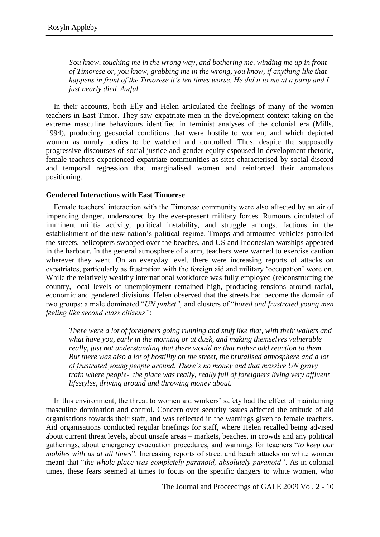*You know, touching me in the wrong way, and bothering me, winding me up in front of Timorese or, you know, grabbing me in the wrong, you know, if anything like that happens in front of the Timorese it"s ten times worse. He did it to me at a party and I just nearly died. Awful.*

In their accounts, both Elly and Helen articulated the feelings of many of the women teachers in East Timor. They saw expatriate men in the development context taking on the extreme masculine behaviours identified in feminist analyses of the colonial era (Mills, 1994), producing geosocial conditions that were hostile to women, and which depicted women as unruly bodies to be watched and controlled. Thus, despite the supposedly progressive discourses of social justice and gender equity espoused in development rhetoric, female teachers experienced expatriate communities as sites characterised by social discord and temporal regression that marginalised women and reinforced their anomalous positioning.

## **Gendered Interactions with East Timorese**

Female teachers' interaction with the Timorese community were also affected by an air of impending danger, underscored by the ever-present military forces. Rumours circulated of imminent militia activity, political instability, and struggle amongst factions in the establishment of the new nation's political regime. Troops and armoured vehicles patrolled the streets, helicopters swooped over the beaches, and US and Indonesian warships appeared in the harbour. In the general atmosphere of alarm, teachers were warned to exercise caution wherever they went. On an everyday level, there were increasing reports of attacks on expatriates, particularly as frustration with the foreign aid and military 'occupation' wore on. While the relatively wealthy international workforce was fully employed (re)constructing the country, local levels of unemployment remained high, producing tensions around racial, economic and gendered divisions. Helen observed that the streets had become the domain of two groups: a male dominated "UN junket", and clusters of "bored and frustrated young men *feeling like second class citizens"*:

*There were a lot of foreigners going running and stuff like that, with their wallets and what have you, early in the morning or at dusk, and making themselves vulnerable really, just not understanding that there would be that rather odd reaction to them. But there was also a lot of hostility on the street, the brutalised atmosphere and a lot of frustrated young people around. There"s no money and that massive UN gravy train where people- the place was really, really full of foreigners living very affluent lifestyles, driving around and throwing money about.*

In this environment, the threat to women aid workers' safety had the effect of maintaining masculine domination and control. Concern over security issues affected the attitude of aid organisations towards their staff, and was reflected in the warnings given to female teachers. Aid organisations conducted regular briefings for staff, where Helen recalled being advised about current threat levels, about unsafe areas – markets, beaches, in crowds and any political gatherings, about emergency evacuation procedures, and warnings for teachers "to keep our *mobiles with us at all times*". Increasing reports of street and beach attacks on white women meant that "*the whole place was completely paranoid, absolutely paranoid*". As in colonial times, these fears seemed at times to focus on the specific dangers to white women, who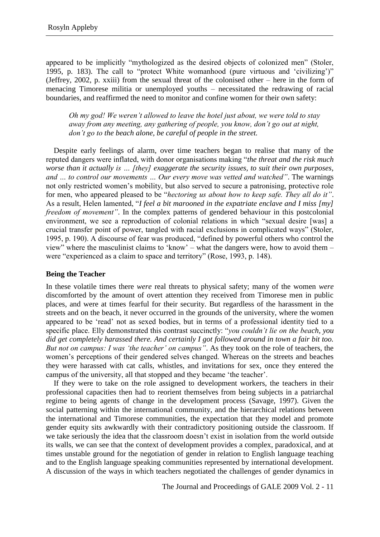appeared to be implicitly "mythologized as the desired objects of colonized men" (Stoler, 1995, p. 183). The call to "protect White womanhood (pure virtuous and 'civilizing')" (Jeffrey, 2002, p. xxiii) from the sexual threat of the colonised other – here in the form of menacing Timorese militia or unemployed youths – necessitated the redrawing of racial boundaries, and reaffirmed the need to monitor and confine women for their own safety:

*Oh my god! We weren"t allowed to leave the hotel just about, we were told to stay away from any meeting, any gathering of people, you know, don"t go out at night, don"t go to the beach alone, be careful of people in the street.*

Despite early feelings of alarm, over time teachers began to realise that many of the reputed dangers were inflated, with donor organisations making "the threat and the risk much *worse than it actually is … [they] exaggerate the security issues, to suit their own purposes, and … to control our movements … Our every move was vetted and watched"*. The warnings not only restricted women's mobility, but also served to secure a patronising, protective role for men, who appeared pleased to be "*hectoring us about how to keep safe. They all do it"*. As a result, Helen lamented, "*I feel a bit marooned in the expatriate enclave and I miss [my] freedom of movement"*. In the complex patterns of gendered behaviour in this postcolonial environment, we see a reproduction of colonial relations in which "sexual desire [was] a crucial transfer point of power, tangled with racial exclusions in complicated ways" (Stoler, 1995, p. 190). A discourse of fear was produced, "defined by powerful others who control the view" where the masculinist claims to 'know' – what the dangers were, how to avoid them – were "experienced as a claim to space and territory" (Rose, 1993, p. 148).

## **Being the Teacher**

In these volatile times there *were* real threats to physical safety; many of the women *were* discomforted by the amount of overt attention they received from Timorese men in public places, and were at times fearful for their security. But regardless of the harassment in the streets and on the beach, it never occurred in the grounds of the university, where the women appeared to be 'read' not as sexed bodies, but in terms of a professional identity tied to a specific place. Elly demonstrated this contrast succinctly: "*you couldn't lie on the beach, you did get completely harassed there. And certainly I got followed around in town a fair bit too. But not on campus: I was "the teacher" on campus"*. As they took on the role of teachers, the women's perceptions of their gendered selves changed. Whereas on the streets and beaches they were harassed with cat calls, whistles, and invitations for sex, once they entered the campus of the university, all that stopped and they became 'the teacher'.

If they were to take on the role assigned to development workers, the teachers in their professional capacities then had to reorient themselves from being subjects in a patriarchal regime to being agents of change in the development process (Savage, 1997). Given the social patterning within the international community, and the hierarchical relations between the international and Timorese communities, the expectation that they model and promote gender equity sits awkwardly with their contradictory positioning outside the classroom. If we take seriously the idea that the classroom doesn't exist in isolation from the world outside its walls, we can see that the context of development provides a complex, paradoxical, and at times unstable ground for the negotiation of gender in relation to English language teaching and to the English language speaking communities represented by international development. A discussion of the ways in which teachers negotiated the challenges of gender dynamics in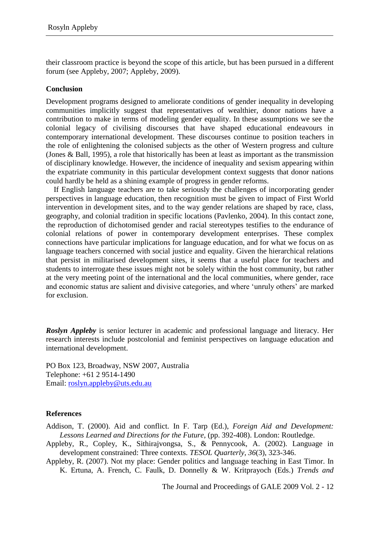their classroom practice is beyond the scope of this article, but has been pursued in a different forum (see Appleby, 2007; Appleby, 2009).

#### **Conclusion**

Development programs designed to ameliorate conditions of gender inequality in developing communities implicitly suggest that representatives of wealthier, donor nations have a contribution to make in terms of modeling gender equality. In these assumptions we see the colonial legacy of civilising discourses that have shaped educational endeavours in contemporary international development. These discourses continue to position teachers in the role of enlightening the colonised subjects as the other of Western progress and culture (Jones & Ball, 1995), a role that historically has been at least as important as the transmission of disciplinary knowledge. However, the incidence of inequality and sexism appearing within the expatriate community in this particular development context suggests that donor nations could hardly be held as a shining example of progress in gender reforms.

If English language teachers are to take seriously the challenges of incorporating gender perspectives in language education, then recognition must be given to impact of First World intervention in development sites, and to the way gender relations are shaped by race, class, geography, and colonial tradition in specific locations (Pavlenko, 2004). In this contact zone, the reproduction of dichotomised gender and racial stereotypes testifies to the endurance of colonial relations of power in contemporary development enterprises. These complex connections have particular implications for language education, and for what we focus on as language teachers concerned with social justice and equality. Given the hierarchical relations that persist in militarised development sites, it seems that a useful place for teachers and students to interrogate these issues might not be solely within the host community, but rather at the very meeting point of the international and the local communities, where gender, race and economic status are salient and divisive categories, and where 'unruly others' are marked for exclusion.

*Roslyn Appleby* is senior lecturer in academic and professional language and literacy. Her research interests include postcolonial and feminist perspectives on language education and international development.

PO Box 123, Broadway, NSW 2007, Australia Telephone: +61 2 9514-1490 Email: roslyn.appleby@uts.edu.au

## **References**

Addison, T. (2000). Aid and conflict. In F. Tarp (Ed.), *Foreign Aid and Development: Lessons Learned and Directions for the Future,* (pp. 392-408). London: Routledge.

- Appleby, R., Copley, K., Sithirajvongsa, S., & Pennycook, A. (2002). Language in development constrained: Three contexts. *TESOL Quarterly, 36*(3), 323-346.
- Appleby, R. (2007). Not my place: Gender politics and language teaching in East Timor. In K. Ertuna, A. French, C. Faulk, D. Donnelly & W. Kritprayoch (Eds.) *Trends and*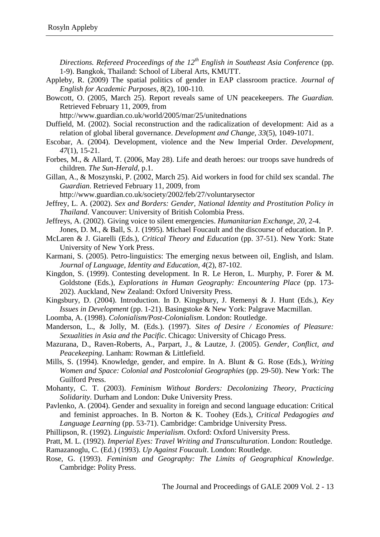*Directions. Refereed Proceedings of the 12th English in Southeast Asia Conference* (pp. 1-9). Bangkok, Thailand: School of Liberal Arts, KMUTT.

- Appleby, R. (2009) The spatial politics of gender in EAP classroom practice. *Journal of English for Academic Purposes, 8*(2), 100-110*.*
- Bowcott, O. (2005, March 25). Report reveals same of UN peacekeepers. *The Guardian.* Retrieved February 11, 2009, from

http://www.guardian.co.uk/world/2005/mar/25/unitednations

- Duffield, M. (2002). Social reconstruction and the radicalization of development: Aid as a relation of global liberal governance. *Development and Change, 33*(5), 1049-1071.
- Escobar, A. (2004). Development, violence and the New Imperial Order. *Development, 47*(1), 15-21.
- Forbes, M., & Allard, T. (2006, May 28). Life and death heroes: our troops save hundreds of children. *The Sun-Herald,* p.1.
- Gillan, A., & Moszynski, P. (2002, March 25). Aid workers in food for child sex scandal. *The Guardian*. Retrieved February 11, 2009, from

http://www.guardian.co.uk/society/2002/feb/27/voluntarysector

- Jeffrey, L. A. (2002). *Sex and Borders: Gender, National Identity and Prostitution Policy in Thailand*. Vancouver: University of British Colombia Press.
- Jeffreys, A. (2002). Giving voice to silent emergencies. *Humanitarian Exchange, 20*, 2-4. Jones, D. M., & Ball, S. J. (1995). Michael Foucault and the discourse of education. In P.
- McLaren & J. Giarelli (Eds.), *Critical Theory and Education* (pp. 37-51). New York: State University of New York Press.
- Karmani, S. (2005). Petro-linguistics: The emerging nexus between oil, English, and Islam. *Journal of Language, Identity and Education, 4*(2), 87-102.
- Kingdon, S. (1999). Contesting development. In R. Le Heron, L. Murphy, P. Forer & M. Goldstone (Eds.), *Explorations in Human Geography: Encountering Place* (pp. 173- 202). Auckland, New Zealand: Oxford University Press.
- Kingsbury, D. (2004). Introduction. In D. Kingsbury, J. Remenyi & J. Hunt (Eds.), *Key Issues in Development* (pp. 1-21). Basingstoke & New York: Palgrave Macmillan.
- Loomba, A. (1998). *Colonialism/Post-Colonialism*. London: Routledge.
- Manderson, L., & Jolly, M. (Eds.). (1997). *Sites of Desire / Economies of Pleasure: Sexualities in Asia and the Pacific*. Chicago: University of Chicago Press.
- Mazurana, D., Raven-Roberts, A., Parpart, J., & Lautze, J. (2005). *Gender, Conflict, and Peacekeeping*. Lanham: Rowman & Littlefield.
- Mills, S. (1994). Knowledge, gender, and empire. In A. Blunt & G. Rose (Eds.), *Writing Women and Space: Colonial and Postcolonial Geographies* (pp. 29-50). New York: The Guilford Press.
- Mohanty, C. T. (2003). *Feminism Without Borders: Decolonizing Theory, Practicing Solidarity*. Durham and London: Duke University Press.
- Pavlenko, A. (2004). Gender and sexuality in foreign and second language education: Critical and feminist approaches. In B. Norton & K. Toohey (Eds.), *Critical Pedagogies and Language Learning* (pp. 53-71). Cambridge: Cambridge University Press.
- Phillipson, R. (1992). *Linguistic Imperialism*. Oxford: Oxford University Press.
- Pratt, M. L. (1992). *Imperial Eyes: Travel Writing and Transculturation*. London: Routledge.

Ramazanoglu, C. (Ed.) (1993). *Up Against Foucault*. London: Routledge.

Rose, G. (1993). *Feminism and Geography: The Limits of Geographical Knowledge*. Cambridge: Polity Press.